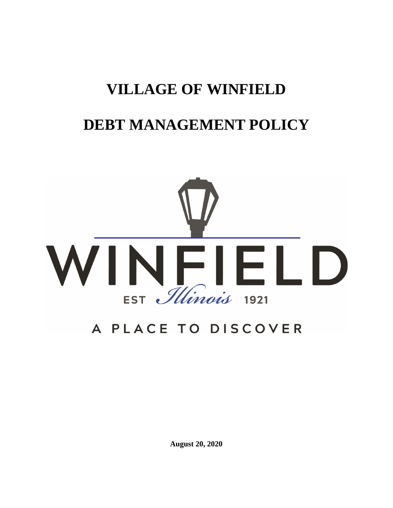# **VILLAGE OF WINFIELD**

# **DEBT MANAGEMENT POLICY**



# A PLACE TO DISCOVER

**August 20, 2020**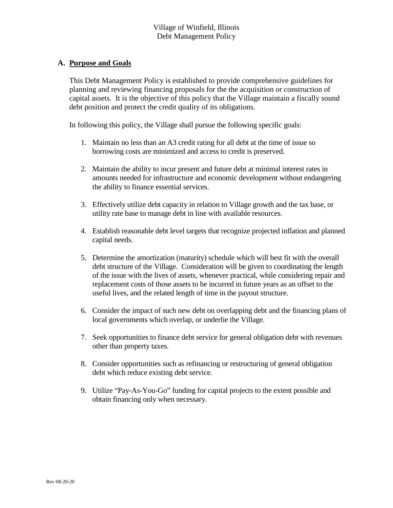# **A. Purpose and Goals**

This Debt Management Policy is established to provide comprehensive guidelines for planning and reviewing financing proposals for the the acquisition or construction of capital assets. It is the objective of this policy that the Village maintain a fiscally sound debt position and protect the credit quality of its obligations.

In following this policy, the Village shall pursue the following specific goals:

- 1. Maintain no less than an A3 credit rating for all debt at the time of issue so borrowing costs are minimized and access to credit is preserved.
- 2. Maintain the ability to incur present and future debt at minimal interest rates in amounts needed for infrastructure and economic development without endangering the ability to finance essential services.
- 3. Effectively utilize debt capacity in relation to Village growth and the tax base, or utility rate base to manage debt in line with available resources.
- 4. Establish reasonable debt level targets that recognize projected inflation and planned capital needs.
- 5. Determine the amortization (maturity) schedule which will best fit with the overall debt structure of the Village. Consideration will be given to coordinating the length of the issue with the lives of assets, whenever practical, while considering repair and replacement costs of those assets to be incurred in future years as an offset to the useful lives, and the related length of time in the payout structure.
- 6. Consider the impact of such new debt on overlapping debt and the financing plans of local governments which overlap, or underlie the Village.
- 7. Seek opportunities to finance debt service for general obligation debt with revenues other than property taxes.
- 8. Consider opportunities such as refinancing or restructuring of general obligation debt which reduce existing debt service.
- 9. Utilize "Pay-As-You-Go" funding for capital projects to the extent possible and obtain financing only when necessary.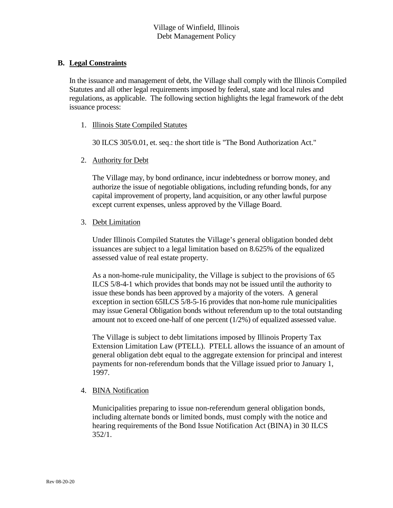### **B. Legal Constraints**

In the issuance and management of debt, the Village shall comply with the Illinois Compiled Statutes and all other legal requirements imposed by federal, state and local rules and regulations, as applicable. The following section highlights the legal framework of the debt issuance process:

#### 1. Illinois State Compiled Statutes

30 ILCS 305/0.01, et. seq.: the short title is "The Bond Authorization Act."

#### 2. Authority for Debt

The Village may, by bond ordinance, incur indebtedness or borrow money, and authorize the issue of negotiable obligations, including refunding bonds, for any capital improvement of property, land acquisition, or any other lawful purpose except current expenses, unless approved by the Village Board.

#### 3. Debt Limitation

Under Illinois Compiled Statutes the Village's general obligation bonded debt issuances are subject to a legal limitation based on 8.625% of the equalized assessed value of real estate property.

As a non-home-rule municipality, the Village is subject to the provisions of 65 ILCS 5/8-4-1 which provides that bonds may not be issued until the authority to issue these bonds has been approved by a majority of the voters. A general exception in section 65ILCS 5/8-5-16 provides that non-home rule municipalities may issue General Obligation bonds without referendum up to the total outstanding amount not to exceed one-half of one percent (1/2%) of equalized assessed value.

The Village is subject to debt limitations imposed by Illinois Property Tax Extension Limitation Law (PTELL). PTELL allows the issuance of an amount of general obligation debt equal to the aggregate extension for principal and interest payments for non-referendum bonds that the Village issued prior to January 1, 1997.

#### 4. BINA Notification

Municipalities preparing to issue non-referendum general obligation bonds, including alternate bonds or limited bonds, must comply with the notice and hearing requirements of the Bond Issue Notification Act (BINA) in 30 ILCS  $352/1.$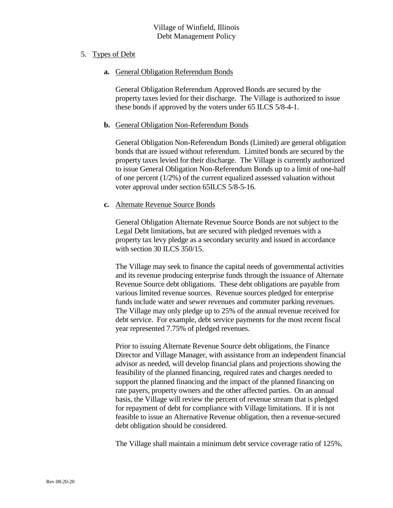#### 5. Types of Debt

**a.** General Obligation Referendum Bonds

General Obligation Referendum Approved Bonds are secured by the property taxes levied for their discharge. The Village is authorized to issue these bonds if approved by the voters under 65 ILCS 5/8-4-1.

#### **b.** General Obligation Non-Referendum Bonds

General Obligation Non-Referendum Bonds (Limited) are general obligation bonds that are issued without referendum. Limited bonds are secured by the property taxes levied for their discharge. The Village is currently authorized to issue General Obligation Non-Referendum Bonds up to a limit of one-half of one percent (1/2%) of the current equalized assessed valuation without voter approval under section 65ILCS 5/8-5-16.

#### **c.** Alternate Revenue Source Bonds

General Obligation Alternate Revenue Source Bonds are not subject to the Legal Debt limitations, but are secured with pledged revenues with a property tax levy pledge as a secondary security and issued in accordance with section 30 ILCS 350/15.

The Village may seek to finance the capital needs of governmental activities and its revenue producing enterprise funds through the issuance of Alternate Revenue Source debt obligations. These debt obligations are payable from various limited revenue sources. Revenue sources pledged for enterprise funds include water and sewer revenues and commuter parking revenues. The Village may only pledge up to 25% of the annual revenue received for debt service. For example, debt service payments for the most recent fiscal year represented 7.75% of pledged revenues.

Prior to issuing Alternate Revenue Source debt obligations, the Finance Director and Village Manager, with assistance from an independent financial advisor as needed, will develop financial plans and projections showing the feasibility of the planned financing, required rates and charges needed to support the planned financing and the impact of the planned financing on rate payers, property owners and the other affected parties. On an annual basis, the Village will review the percent of revenue stream that is pledged for repayment of debt for compliance with Village limitations. If it is not feasible to issue an Alternative Revenue obligation, then a revenue-secured debt obligation should be considered.

The Village shall maintain a minimum debt service coverage ratio of 125%.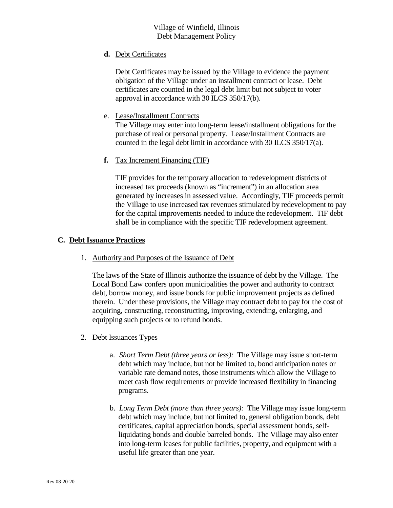# **d.** Debt Certificates

Debt Certificates may be issued by the Village to evidence the payment obligation of the Village under an installment contract or lease. Debt certificates are counted in the legal debt limit but not subject to voter approval in accordance with 30 ILCS 350/17(b).

# e. Lease/Installment Contracts

The Village may enter into long-term lease/installment obligations for the purchase of real or personal property. Lease/Installment Contracts are counted in the legal debt limit in accordance with 30 ILCS 350/17(a).

# **f.** Tax Increment Financing (TIF)

TIF provides for the temporary allocation to redevelopment districts of increased tax proceeds (known as "increment") in an allocation area generated by increases in assessed value. Accordingly, TIF proceeds permit the Village to use increased tax revenues stimulated by redevelopment to pay for the capital improvements needed to induce the redevelopment. TIF debt shall be in compliance with the specific TIF redevelopment agreement.

# **C. Debt Issuance Practices**

1. Authority and Purposes of the Issuance of Debt

The laws of the State of Illinois authorize the issuance of debt by the Village. The Local Bond Law confers upon municipalities the power and authority to contract debt, borrow money, and issue bonds for public improvement projects as defined therein. Under these provisions, the Village may contract debt to pay for the cost of acquiring, constructing, reconstructing, improving, extending, enlarging, and equipping such projects or to refund bonds.

- 2. Debt Issuances Types
	- a. *Short Term Debt (three years or less):* The Village may issue short-term debt which may include, but not be limited to, bond anticipation notes or variable rate demand notes, those instruments which allow the Village to meet cash flow requirements or provide increased flexibility in financing programs.
	- b. *Long Term Debt (more than three years):* The Village may issue long-term debt which may include, but not limited to, general obligation bonds, debt certificates, capital appreciation bonds, special assessment bonds, selfliquidating bonds and double barreled bonds. The Village may also enter into long-term leases for public facilities, property, and equipment with a useful life greater than one year.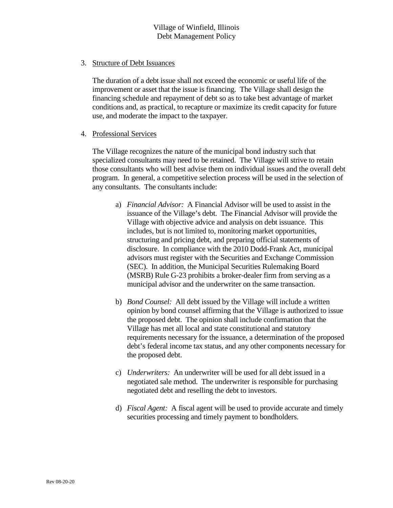#### 3. Structure of Debt Issuances

The duration of a debt issue shall not exceed the economic or useful life of the improvement or asset that the issue is financing. The Village shall design the financing schedule and repayment of debt so as to take best advantage of market conditions and, as practical, to recapture or maximize its credit capacity for future use, and moderate the impact to the taxpayer.

#### 4. Professional Services

The Village recognizes the nature of the municipal bond industry such that specialized consultants may need to be retained. The Village will strive to retain those consultants who will best advise them on individual issues and the overall debt program. In general, a competitive selection process will be used in the selection of any consultants. The consultants include:

- a) *Financial Advisor:* A Financial Advisor will be used to assist in the issuance of the Village's debt. The Financial Advisor will provide the Village with objective advice and analysis on debt issuance. This includes, but is not limited to, monitoring market opportunities, structuring and pricing debt, and preparing official statements of disclosure. In compliance with the 2010 Dodd-Frank Act, municipal advisors must register with the Securities and Exchange Commission (SEC). In addition, the Municipal Securities Rulemaking Board (MSRB) Rule G-23 prohibits a broker-dealer firm from serving as a municipal advisor and the underwriter on the same transaction.
- b) *Bond Counsel:* All debt issued by the Village will include a written opinion by bond counsel affirming that the Village is authorized to issue the proposed debt. The opinion shall include confirmation that the Village has met all local and state constitutional and statutory requirements necessary for the issuance, a determination of the proposed debt's federal income tax status, and any other components necessary for the proposed debt.
- c) *Underwriters:* An underwriter will be used for all debt issued in a negotiated sale method. The underwriter is responsible for purchasing negotiated debt and reselling the debt to investors.
- d) *Fiscal Agent:* A fiscal agent will be used to provide accurate and timely securities processing and timely payment to bondholders.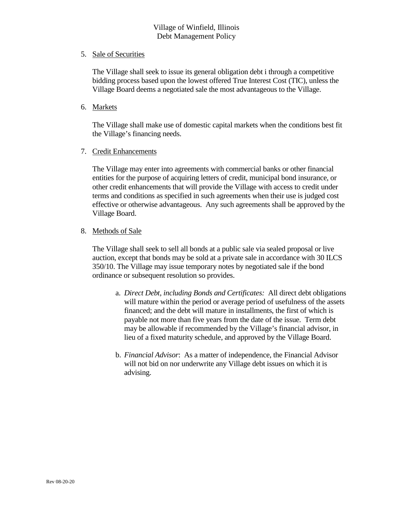# Village of Winfield, Illinois Debt Management Policy

#### 5. Sale of Securities

The Village shall seek to issue its general obligation debt i through a competitive bidding process based upon the lowest offered True Interest Cost (TIC), unless the Village Board deems a negotiated sale the most advantageous to the Village.

#### 6. Markets

The Village shall make use of domestic capital markets when the conditions best fit the Village's financing needs.

#### 7. Credit Enhancements

The Village may enter into agreements with commercial banks or other financial entities for the purpose of acquiring letters of credit, municipal bond insurance, or other credit enhancements that will provide the Village with access to credit under terms and conditions as specified in such agreements when their use is judged cost effective or otherwise advantageous. Any such agreements shall be approved by the Village Board.

#### 8. Methods of Sale

The Village shall seek to sell all bonds at a public sale via sealed proposal or live auction, except that bonds may be sold at a private sale in accordance with 30 ILCS 350/10. The Village may issue temporary notes by negotiated sale if the bond ordinance or subsequent resolution so provides.

- a. *Direct Debt, including Bonds and Certificates:* All direct debt obligations will mature within the period or average period of usefulness of the assets financed; and the debt will mature in installments, the first of which is payable not more than five years from the date of the issue. Term debt may be allowable if recommended by the Village's financial advisor, in lieu of a fixed maturity schedule, and approved by the Village Board.
- b. *Financial Advisor*: As a matter of independence, the Financial Advisor will not bid on nor underwrite any Village debt issues on which it is advising.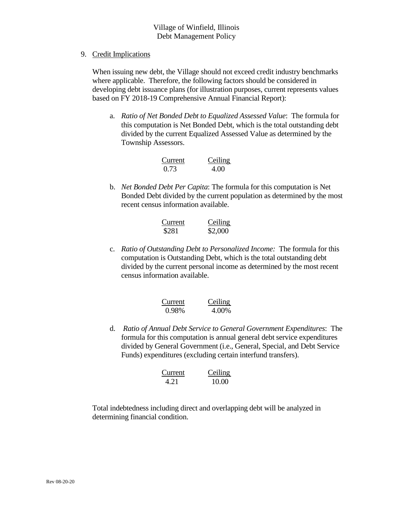# Village of Winfield, Illinois Debt Management Policy

9. Credit Implications

When issuing new debt, the Village should not exceed credit industry benchmarks where applicable. Therefore, the following factors should be considered in developing debt issuance plans (for illustration purposes, current represents values based on FY 2018-19 Comprehensive Annual Financial Report):

a. *Ratio of Net Bonded Debt to Equalized Assessed Value*: The formula for this computation is Net Bonded Debt, which is the total outstanding debt divided by the current Equalized Assessed Value as determined by the Township Assessors.

| Current | Ceiling |
|---------|---------|
| 0.73    | 4.00    |

b. *Net Bonded Debt Per Capita*: The formula for this computation is Net Bonded Debt divided by the current population as determined by the most recent census information available.

| Current | Ceiling |
|---------|---------|
| \$281   | \$2,000 |

c. *Ratio of Outstanding Debt to Personalized Income:* The formula for this computation is Outstanding Debt, which is the total outstanding debt divided by the current personal income as determined by the most recent census information available.

| Current | Ceiling |  |
|---------|---------|--|
| 0.98%   | 4.00%   |  |

d. *Ratio of Annual Debt Service to General Government Expenditures*: The formula for this computation is annual general debt service expenditures divided by General Government (i.e., General, Special, and Debt Service Funds) expenditures (excluding certain interfund transfers).

$$
\begin{array}{ll}\n\text{Current} & \text{Ceiling} \\
4.21 & 10.00\n\end{array}
$$

Total indebtedness including direct and overlapping debt will be analyzed in determining financial condition.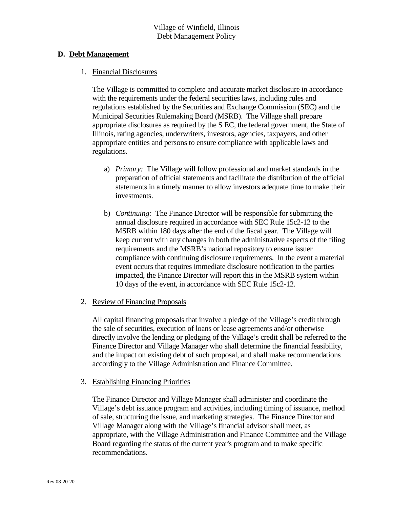#### **D. Debt Management**

#### 1. Financial Disclosures

The Village is committed to complete and accurate market disclosure in accordance with the requirements under the federal securities laws, including rules and regulations established by the Securities and Exchange Commission (SEC) and the Municipal Securities Rulemaking Board (MSRB). The Village shall prepare appropriate disclosures as required by the S EC, the federal government, the State of Illinois, rating agencies, underwriters, investors, agencies, taxpayers, and other appropriate entities and persons to ensure compliance with applicable laws and regulations.

- a) *Primary:* The Village will follow professional and market standards in the preparation of official statements and facilitate the distribution of the official statements in a timely manner to allow investors adequate time to make their investments.
- b) *Continuing:* The Finance Director will be responsible for submitting the annual disclosure required in accordance with SEC Rule 15c2-12 to the MSRB within 180 days after the end of the fiscal year. The Village will keep current with any changes in both the administrative aspects of the filing requirements and the MSRB's national repository to ensure issuer compliance with continuing disclosure requirements. In the event a material event occurs that requires immediate disclosure notification to the parties impacted, the Finance Director will report this in the MSRB system within 10 days of the event, in accordance with SEC Rule 15c2-12.

#### 2. Review of Financing Proposals

All capital financing proposals that involve a pledge of the Village's credit through the sale of securities, execution of loans or lease agreements and/or otherwise directly involve the lending or pledging of the Village's credit shall be referred to the Finance Director and Village Manager who shall determine the financial feasibility, and the impact on existing debt of such proposal, and shall make recommendations accordingly to the Village Administration and Finance Committee.

#### 3. Establishing Financing Priorities

The Finance Director and Village Manager shall administer and coordinate the Village's debt issuance program and activities, including timing of issuance, method of sale, structuring the issue, and marketing strategies. The Finance Director and Village Manager along with the Village's financial advisor shall meet, as appropriate, with the Village Administration and Finance Committee and the Village Board regarding the status of the current year's program and to make specific recommendations.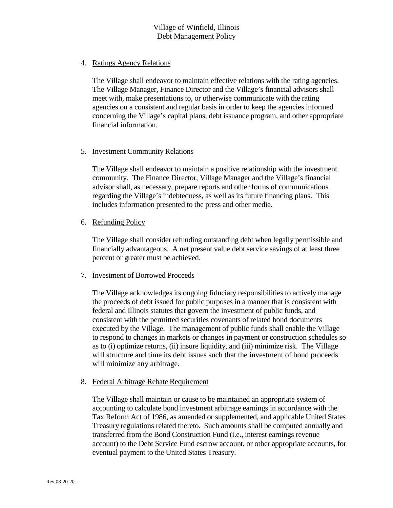# Village of Winfield, Illinois Debt Management Policy

#### 4. Ratings Agency Relations

The Village shall endeavor to maintain effective relations with the rating agencies. The Village Manager, Finance Director and the Village's financial advisors shall meet with, make presentations to, or otherwise communicate with the rating agencies on a consistent and regular basis in order to keep the agencies informed concerning the Village's capital plans, debt issuance program, and other appropriate financial information.

#### 5. Investment Community Relations

The Village shall endeavor to maintain a positive relationship with the investment community. The Finance Director, Village Manager and the Village's financial advisor shall, as necessary, prepare reports and other forms of communications regarding the Village's indebtedness, as well as its future financing plans. This includes information presented to the press and other media.

#### 6. Refunding Policy

The Village shall consider refunding outstanding debt when legally permissible and financially advantageous. A net present value debt service savings of at least three percent or greater must be achieved.

#### 7. Investment of Borrowed Proceeds

The Village acknowledges its ongoing fiduciary responsibilities to actively manage the proceeds of debt issued for public purposes in a manner that is consistent with federal and Illinois statutes that govern the investment of public funds, and consistent with the permitted securities covenants of related bond documents executed by the Village. The management of public funds shall enable the Village to respond to changes in markets or changes in payment or construction schedules so as to (i) optimize returns, (ii) insure liquidity, and (iii) minimize risk. The Village will structure and time its debt issues such that the investment of bond proceeds will minimize any arbitrage.

#### 8. Federal Arbitrage Rebate Requirement

The Village shall maintain or cause to be maintained an appropriate system of accounting to calculate bond investment arbitrage earnings in accordance with the Tax Reform Act of 1986, as amended or supplemented, and applicable United States Treasury regulations related thereto. Such amounts shall be computed annually and transferred from the Bond Construction Fund (i.e., interest earnings revenue account) to the Debt Service Fund escrow account, or other appropriate accounts, for eventual payment to the United States Treasury.